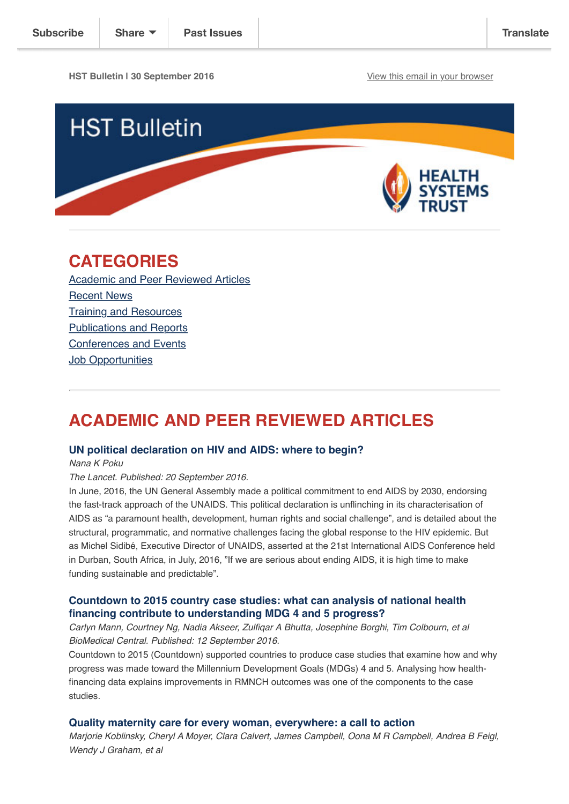**HST Bulletin I 30 September 2016** [View this email in your browser](http://us14.campaign-archive1.com/?u=72d7614ab973e486252cafb97&id=cfc1530845&e=%5BUNIQID%5D)



## **CATEGORIES**

[Academic and Peer Reviewed Articles](http://us14.campaign-archive2.com/?u=72d7614ab973e486252cafb97&id=cfc1530845&e=%5BUNIQID#Academic) [Recent News](http://us14.campaign-archive2.com/?u=72d7614ab973e486252cafb97&id=cfc1530845&e=%5BUNIQID#Recent) [Training and Resources](http://us14.campaign-archive2.com/?u=72d7614ab973e486252cafb97&id=cfc1530845&e=%5BUNIQID#Training) [Publications and Reports](http://us14.campaign-archive2.com/?u=72d7614ab973e486252cafb97&id=cfc1530845&e=%5BUNIQID#Books) [Conferences and Events](http://us14.campaign-archive2.com/?u=72d7614ab973e486252cafb97&id=cfc1530845&e=%5BUNIQID#Conferences) **[Job Opportunities](http://us14.campaign-archive2.com/?u=72d7614ab973e486252cafb97&id=cfc1530845&e=%5BUNIQID#Job%20Opportunities)** 

## **ACADEMIC AND PEER REVIEWED ARTICLES**

#### **[UN political declaration on HIV and AIDS: where to begin?](http://www.thelancet.com/journals/lancet/article/PIIS0140-6736(16)31336-8/fulltext?elsca1=etoc)**

*Nana K Poku*

#### *The Lancet. Published: 20 September 2016.*

In June, 2016, the UN General Assembly made a political commitment to end AIDS by 2030, endorsing the fast-track approach of the UNAIDS. This political declaration is unflinching in its characterisation of AIDS as "a paramount health, development, human rights and social challenge", and is detailed about the structural, programmatic, and normative challenges facing the global response to the HIV epidemic. But as Michel Sidibé, Executive Director of UNAIDS, asserted at the 21st International AIDS Conference held in Durban, South Africa, in July, 2016, "If we are serious about ending AIDS, it is high time to make funding sustainable and predictable".

## **[Countdown to 2015 country case studies: what can analysis of national health](http://bmcpublichealth.biomedcentral.com/articles/10.1186/s12889-016-3403-4) financing contribute to understanding MDG 4 and 5 progress?**

*Carlyn Mann, Courtney Ng, Nadia Akseer, Zulfiqar A Bhutta, Josephine Borghi, Tim Colbourn, et al BioMedical Central. Published: 12 September 2016.*

Countdown to 2015 (Countdown) supported countries to produce case studies that examine how and why progress was made toward the Millennium Development Goals (MDGs) 4 and 5. Analysing how healthfinancing data explains improvements in RMNCH outcomes was one of the components to the case studies.

#### **[Quality maternity care for every woman, everywhere: a call to action](http://www.thelancet.com/journals/lancet/article/PIIS0140-6736(16)31333-2/fulltext)**

*Marjorie Koblinsky, Cheryl A Moyer, Clara Calvert, James Campbell, Oona M R Campbell, Andrea B Feigl, Wendy J Graham, et al*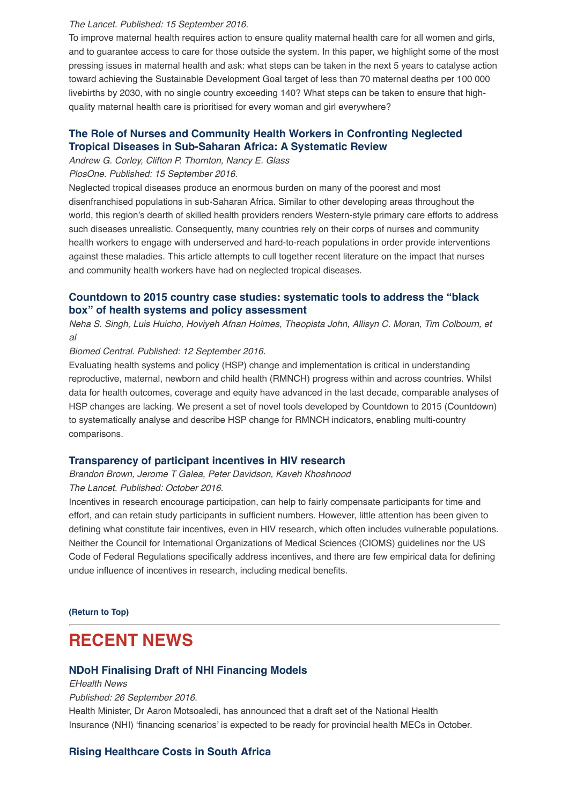#### *The Lancet. Published: 15 September 2016.*

To improve maternal health requires action to ensure quality maternal health care for all women and girls, and to guarantee access to care for those outside the system. In this paper, we highlight some of the most pressing issues in maternal health and ask: what steps can be taken in the next 5 years to catalyse action toward achieving the Sustainable Development Goal target of less than 70 maternal deaths per 100 000 livebirths by 2030, with no single country exceeding 140? What steps can be taken to ensure that highquality maternal health care is prioritised for every woman and girl everywhere?

## **[The Role of Nurses and Community Health Workers in Confronting Neglected](http://journals.plos.org/plosntds/article?id=10.1371/journal.pntd.0004914) Tropical Diseases in Sub-Saharan Africa: A Systematic Review**

*Andrew G. Corley, Clifton P. Thornton, Nancy E. Glass*

*PlosOne. Published: 15 September 2016.*

Neglected tropical diseases produce an enormous burden on many of the poorest and most disenfranchised populations in sub-Saharan Africa. Similar to other developing areas throughout the world, this region's dearth of skilled health providers renders Western-style primary care efforts to address such diseases unrealistic. Consequently, many countries rely on their corps of nurses and community health workers to engage with underserved and hard-to-reach populations in order provide interventions against these maladies. This article attempts to cull together recent literature on the impact that nurses and community health workers have had on neglected tropical diseases.

## **[Countdown to 2015 country case studies: systematic tools to address the "black](http://bmcpublichealth.biomedcentral.com/articles/10.1186/s12889-016-3402-5) box" of health systems and policy assessment**

*Neha S. Singh, Luis Huicho, Hoviyeh Afnan Holmes, Theopista John, Allisyn C. Moran, Tim Colbourn, et al*

*Biomed Central. Published: 12 September 2016.*

Evaluating health systems and policy (HSP) change and implementation is critical in understanding reproductive, maternal, newborn and child health (RMNCH) progress within and across countries. Whilst data for health outcomes, coverage and equity have advanced in the last decade, comparable analyses of HSP changes are lacking. We present a set of novel tools developed by Countdown to 2015 (Countdown) to systematically analyse and describe HSP change for RMNCH indicators, enabling multi-country comparisons.

#### **[Transparency of participant incentives in HIV research](http://www.thelancet.com/journals/lanhiv/article/PIIS2352-3018(16)30150-3/fulltext)**

*Brandon Brown, Jerome T Galea, Peter Davidson, Kaveh Khoshnood The Lancet. Published: October 2016.*

Incentives in research encourage participation, can help to fairly compensate participants for time and effort, and can retain study participants in sufficient numbers. However, little attention has been given to defining what constitute fair incentives, even in HIV research, which often includes vulnerable populations. Neither the Council for International Organizations of Medical Sciences (CIOMS) guidelines nor the US Code of Federal Regulations specifically address incentives, and there are few empirical data for defining undue influence of incentives in research, including medical benefits.

**[\(Return to Top\)](http://us14.campaign-archive2.com/?u=72d7614ab973e486252cafb97&id=cfc1530845&e=%5BUNIQID#Top)**

## **RECENT NEWS**

#### **[NDoH Finalising Draft of NHI Financing Models](http://ehealthnews.co.za/ndoh-nhi-financing-models/)**

*EHealth News*

*Published: 26 September 2016.*

Health Minister, Dr Aaron Motsoaledi, has announced that a draft set of the National Health Insurance (NHI) 'financing scenarios' is expected to be ready for provincial health MECs in October.

#### **[Rising Healthcare Costs in South Africa](http://ehealthnews.co.za/rising-healthcare-costs/)**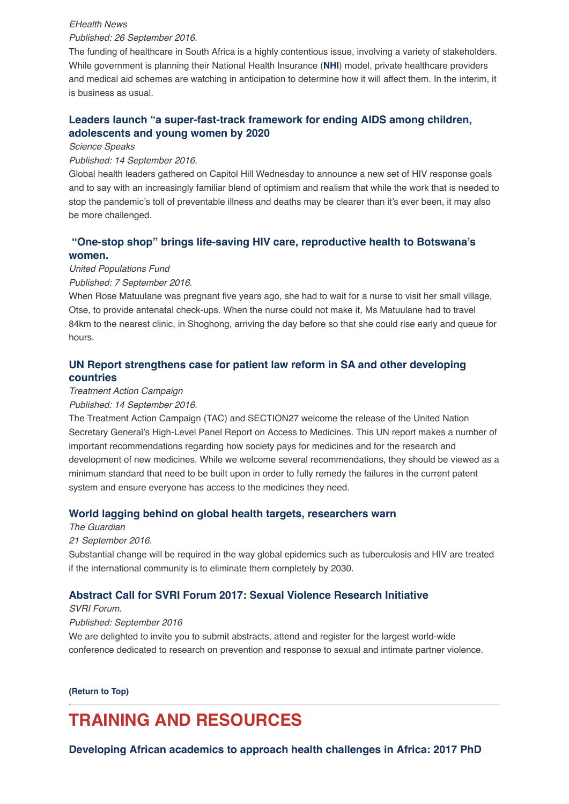#### *EHealth News*

### *Published: 26 September 2016.*

The funding of healthcare in South Africa is a highly contentious issue, involving a variety of stakeholders. While government is planning their National Health Insurance (**[NHI](http://ehealthnews.co.za/nhi-sappf/)**) model, private healthcare providers and medical aid schemes are watching in anticipation to determine how it will affect them. In the interim, it is business as usual.

## **[Leaders launch "a super-fast-track framework for ending AIDS among children,](http://sciencespeaksblog.org/2016/09/15/leaders-launch-a-super-fast-track-framework-for-ending-aids-among-children-adolescents-and-young-women-by-2020/) adolescents and young women by 2020**

#### *Science Speaks*

#### *Published: 14 September 2016.*

Global health leaders gathered on Capitol Hill Wednesday to announce a new set of HIV response goals and to say with an increasingly familiar blend of optimism and realism that while the work that is needed to stop the pandemic's toll of preventable illness and deaths may be clearer than it's ever been, it may also be more challenged.

## **["One-stop shop" brings life-saving HIV care, reproductive health to Botswana's](http://www.unfpa.org/news/%E2%80%9Cone-stop-shop%E2%80%9D-brings-life-saving-hiv-care-reproductive-health-botswana%E2%80%99s-women#sthash.NOIQNkg8.dpuf) women.**

*United Populations Fund*

#### *Published: 7 September 2016.*

When Rose Matuulane was pregnant five years ago, she had to wait for a nurse to visit her small village, Otse, to provide antenatal check-ups. When the nurse could not make it, Ms Matuulane had to travel 84km to the nearest clinic, in Shoghong, arriving the day before so that she could rise early and queue for hours.

## **[UN Report strengthens case for patient law reform in SA and other developing](http://tac.org.za/news/un-report-strengthens-case-patent-law-reform-sa-and-other-developing-countries) countries**

#### *Treatment Action Campaign*

#### *Published: 14 September 2016.*

The Treatment Action Campaign (TAC) and SECTION27 welcome the release of the United Nation Secretary General's High-Level Panel Report on Access to Medicines. This UN report makes a number of important recommendations regarding how society pays for medicines and for the research and development of new medicines. While we welcome several recommendations, they should be viewed as a minimum standard that need to be built upon in order to fully remedy the failures in the current patent system and ensure everyone has access to the medicines they need.

#### **[World lagging behind on global health targets, researchers warn](https://www.theguardian.com/global-development/2016/sep/21/world-lagging-behind-global-health-targets-sustainable-development-goals-2030-lancet)**

*The Guardian*

#### *21 September 2016.*

Substantial change will be required in the way global epidemics such as tuberculosis and HIV are treated if the international community is to eliminate them completely by 2030.

#### **[Abstract Call for SVRI Forum 2017: Sexual Violence Research Initiative](http://www.svri.org/forums/forum2017/index.htm)**

#### *SVRI Forum.*

#### *Published: September 2016*

We are delighted to invite you to submit abstracts, attend and register for the largest world-wide conference dedicated to research on prevention and response to sexual and intimate partner violence.

#### **[\(Return to Top\)](http://us14.campaign-archive2.com/?u=72d7614ab973e486252cafb97&id=cfc1530845&e=%5BUNIQID#Top)**

# **TRAINING AND RESOURCES**

**[Developing African academics to approach health challenges in Africa: 2017 PhD](http://www.heard.org.za/education/phd-applicants/)**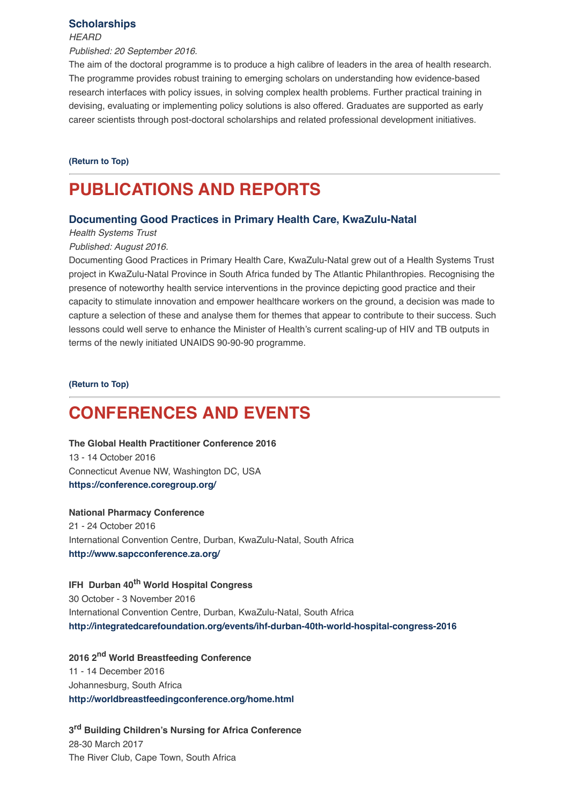#### **[Scholarships](http://www.heard.org.za/education/phd-applicants/)**

#### *HEARD*

*Published: 20 September 2016.*

The aim of the doctoral programme is to produce a high calibre of leaders in the area of health research. The programme provides robust training to emerging scholars on understanding how evidence-based research interfaces with policy issues, in solving complex health problems. Further practical training in devising, evaluating or implementing policy solutions is also offered. Graduates are supported as early career scientists through post-doctoral scholarships and related professional development initiatives.

**[\(Return to Top\)](http://us14.campaign-archive2.com/?u=72d7614ab973e486252cafb97&id=cfc1530845&e=%5BUNIQID#Top)**

# **PUBLICATIONS AND REPORTS**

### **[Documenting Good Practices in Primary Health Care, KwaZulu-Natal](http://www.hst.org.za/publications/kzn-good-practices)**

*Health Systems Trust*

*Published: August 2016.*

Documenting Good Practices in Primary Health Care, KwaZulu-Natal grew out of a Health Systems Trust project in KwaZulu-Natal Province in South Africa funded by The Atlantic Philanthropies. Recognising the presence of noteworthy health service interventions in the province depicting good practice and their capacity to stimulate innovation and empower healthcare workers on the ground, a decision was made to capture a selection of these and analyse them for themes that appear to contribute to their success. Such lessons could well serve to enhance the Minister of Health's current scaling-up of HIV and TB outputs in terms of the newly initiated UNAIDS 90-90-90 programme.

**[\(Return to Top\)](http://us14.campaign-archive2.com/?u=72d7614ab973e486252cafb97&id=cfc1530845&e=%5BUNIQID#Top)**

# **CONFERENCES AND EVENTS**

**The Global Health Practitioner Conference 2016** 13 - 14 October 2016 Connecticut Avenue NW, Washington DC, USA **<https://conference.coregroup.org/>**

#### **National Pharmacy Conference**

21 - 24 October 2016 International Convention Centre, Durban, KwaZulu-Natal, South Africa **<http://www.sapcconference.za.org/>**

## **IFH Durban 40th World Hospital Congress**

30 October - 3 November 2016 International Convention Centre, Durban, KwaZulu-Natal, South Africa **<http://integratedcarefoundation.org/events/ihf-durban-40th-world-hospital-congress-2016>**

**2016 2nd World Breastfeeding Conference** 11 - 14 December 2016 Johannesburg, South Africa **<http://worldbreastfeedingconference.org/home.html>**

**3rd Building Children's Nursing for Africa Conference** 28-30 March 2017 The River Club, Cape Town, South Africa